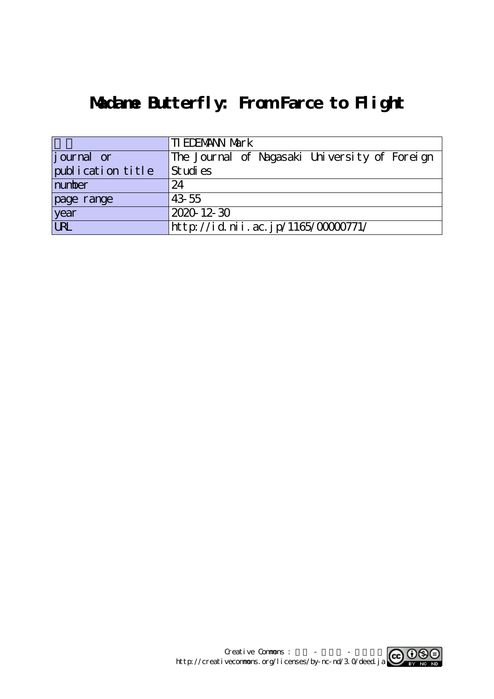# **Madame Butterfly: From Farce to Flight**

|                    | <b>TI EDEMANN Mark</b>                        |  |  |  |  |  |
|--------------------|-----------------------------------------------|--|--|--|--|--|
| <i>j</i> ournal or | The Journal of Nagasaki University of Foreign |  |  |  |  |  |
| publication title  | St udi es                                     |  |  |  |  |  |
| number             | 24                                            |  |  |  |  |  |
| page range         | 43 55                                         |  |  |  |  |  |
| year               | $2020 - 12 - 30$                              |  |  |  |  |  |
| URL                | http://id.nii.ac.jp/1165/00000771/            |  |  |  |  |  |

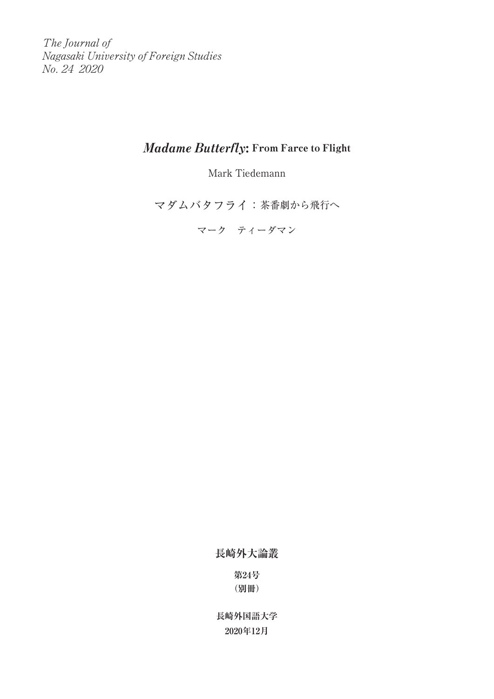The Journal of Nagasaki University of Foreign Studies No. 24 2020

# Madame Butterfly: From Farce to Flight

Mark Tiedemann

マダムバタフライ:茶番劇から飛行へ

マーク ティーダマン

**長崎外大論叢**

**第24号 (別冊)**

**長崎外国語大学 2020年12月**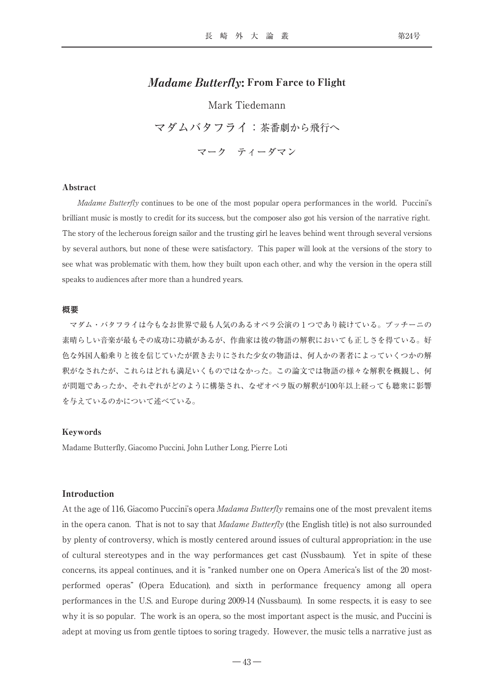## Madame Butterfly: From Farce to Flight

Mark Tiedemann マダムバタフライ:茶番劇から飛行へ マーク ティーダマン

#### Abstract

Madame Butterfly continues to be one of the most popular opera performances in the world. Puccini's brilliant music is mostly to credit for its success, but the composer also got his version of the narrative right. The story of the lecherous foreign sailor and the trusting girl he leaves behind went through several versions by several authors, but none of these were satisfactory. This paper will look at the versions of the story to see what was problematic with them, how they built upon each other, and why the version in the opera still speaks to audiences after more than a hundred years.

#### **概要**

マダム・バタフライは今もなお世界で最も人気のあるオペラ公演の1つであり続けている。プッチーニの 素晴らしい音楽が最もその成功に功績があるが、作曲家は彼の物語の解釈においても正しさを得ている。好 色な外国人船乗りと彼を信じていたが置き去りにされた少女の物語は、何人かの著者によっていくつかの解 釈がなされたが、これらはどれも満足いくものではなかった。この論文では物語の様々な解釈を概観し、何 が問題であったか、それぞれがどのように構築され、なぜオペラ版の解釈が100年以上経っても聴衆に影響 を与えているのかについて述べている。

#### Keywords

Madame Butterfly, Giacomo Puccini, John Luther Long, Pierre Loti

#### Introduction

At the age of 116, Giacomo Puccini's opera *Madama Butterfly* remains one of the most prevalent items in the opera canon. That is not to say that Madame Butterfly (the English title) is not also surrounded by plenty of controversy, which is mostly centered around issues of cultural appropriation: in the use of cultural stereotypes and in the way performances get cast (Nussbaum). Yet in spite of these concerns, its appeal continues, and it is "ranked number one on Opera America's list of the 20 mostperformed operas" (Opera Education), and sixth in performance frequency among all opera performances in the U.S. and Europe during 2009-14 (Nussbaum). In some respects, it is easy to see why it is so popular. The work is an opera, so the most important aspect is the music, and Puccini is adept at moving us from gentle tiptoes to soring tragedy. However, the music tells a narrative just as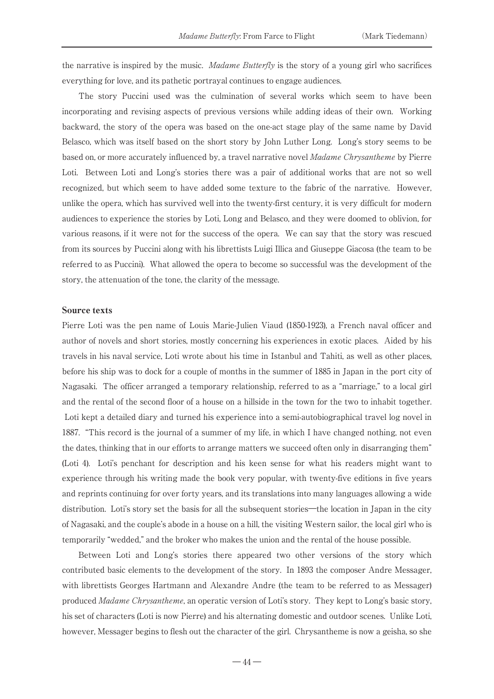the narrative is inspired by the music. *Madame Butterfly* is the story of a young girl who sacrifices everything for love, and its pathetic portrayal continues to engage audiences.

The story Puccini used was the culmination of several works which seem to have been incorporating and revising aspects of previous versions while adding ideas of their own. Working backward, the story of the opera was based on the one-act stage play of the same name by David Belasco, which was itself based on the short story by John Luther Long. Long's story seems to be based on, or more accurately influenced by, a travel narrative novel Madame Chrysantheme by Pierre Loti. Between Loti and Long's stories there was a pair of additional works that are not so well recognized, but which seem to have added some texture to the fabric of the narrative. However, unlike the opera, which has survived well into the twenty-first century, it is very difficult for modern audiences to experience the stories by Loti, Long and Belasco, and they were doomed to oblivion, for various reasons, if it were not for the success of the opera. We can say that the story was rescued from its sources by Puccini along with his librettists Luigi Illica and Giuseppe Giacosa (the team to be referred to as Puccini). What allowed the opera to become so successful was the development of the story, the attenuation of the tone, the clarity of the message.

#### Source texts

Pierre Loti was the pen name of Louis Marie-Julien Viaud (1850-1923), a French naval officer and author of novels and short stories, mostly concerning his experiences in exotic places. Aided by his travels in his naval service, Loti wrote about his time in Istanbul and Tahiti, as well as other places, before his ship was to dock for a couple of months in the summer of 1885 in Japan in the port city of Nagasaki. The officer arranged a temporary relationship, referred to as a "marriage," to a local girl and the rental of the second floor of a house on a hillside in the town for the two to inhabit together. Loti kept a detailed diary and turned his experience into a semi-autobiographical travel log novel in 1887. "This record is the journal of a summer of my life, in which I have changed nothing, not even the dates, thinking that in our efforts to arrange matters we succeed often only in disarranging them" (Loti 4). Loti's penchant for description and his keen sense for what his readers might want to experience through his writing made the book very popular, with twenty-five editions in five years and reprints continuing for over forty years, and its translations into many languages allowing a wide distribution. Loti's story set the basis for all the subsequent stories―the location in Japan in the city of Nagasaki, and the couple's abode in a house on a hill, the visiting Western sailor, the local girl who is temporarily "wedded," and the broker who makes the union and the rental of the house possible.

Between Loti and Long's stories there appeared two other versions of the story which contributed basic elements to the development of the story. In 1893 the composer Andre Messager, with librettists Georges Hartmann and Alexandre Andre (the team to be referred to as Messager) produced Madame Chrysantheme, an operatic version of Loti's story. They kept to Long's basic story, his set of characters (Loti is now Pierre) and his alternating domestic and outdoor scenes. Unlike Loti, however, Messager begins to flesh out the character of the girl. Chrysantheme is now a geisha, so she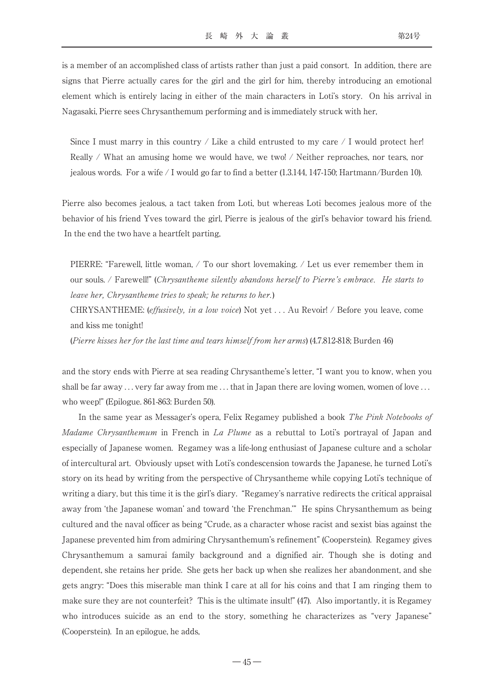is a member of an accomplished class of artists rather than just a paid consort. In addition, there are signs that Pierre actually cares for the girl and the girl for him, thereby introducing an emotional element which is entirely lacing in either of the main characters in Loti's story. On his arrival in Nagasaki, Pierre sees Chrysanthemum performing and is immediately struck with her,

Since I must marry in this country  $\ell$  Like a child entrusted to my care  $\ell$  I would protect her! Really / What an amusing home we would have, we two! / Neither reproaches, nor tears, nor jealous words. For a wife / I would go far to find a better (1.3.144, 147-150; Hartmann/Burden 10).

Pierre also becomes jealous, a tact taken from Loti, but whereas Loti becomes jealous more of the behavior of his friend Yves toward the girl, Pierre is jealous of the girl's behavior toward his friend. In the end the two have a heartfelt parting,

PIERRE: "Farewell, little woman,  $\angle$  To our short lovemaking.  $\angle$  Let us ever remember them in our souls. / Farewell!" (Chrysantheme silently abandons herself to Pierre's embrace. He starts to leave her, Chrysantheme tries to speak; he returns to her.)

CHRYSANTHEME: (effusively, in a low voice) Not yet . . . Au Revoir! / Before you leave, come and kiss me tonight!

(Pierre kisses her for the last time and tears himself from her arms) (4.7.812-818; Burden 46)

and the story ends with Pierre at sea reading Chrysantheme's letter, "I want you to know, when you shall be far away  $\ldots$  very far away from me  $\ldots$  that in Japan there are loving women, women of love  $\ldots$ who weep!" (Epilogue. 861-863: Burden 50).

In the same year as Messager's opera, Felix Regamey published a book The Pink Notebooks of Madame Chrysanthemum in French in La Plume as a rebuttal to Loti's portrayal of Japan and especially of Japanese women. Regamey was a life-long enthusiast of Japanese culture and a scholar of intercultural art. Obviously upset with Loti's condescension towards the Japanese, he turned Loti's story on its head by writing from the perspective of Chrysantheme while copying Loti's technique of writing a diary, but this time it is the girl's diary. "Regamey's narrative redirects the critical appraisal away from ʻthe Japanese woman' and toward ʻthe Frenchman.'" He spins Chrysanthemum as being cultured and the naval officer as being "Crude, as a character whose racist and sexist bias against the Japanese prevented him from admiring Chrysanthemum's refinement" (Cooperstein). Regamey gives Chrysanthemum a samurai family background and a dignified air. Though she is doting and dependent, she retains her pride. She gets her back up when she realizes her abandonment, and she gets angry: "Does this miserable man think I care at all for his coins and that I am ringing them to make sure they are not counterfeit? This is the ultimate insult!" (47). Also importantly, it is Regamey who introduces suicide as an end to the story, something he characterizes as "very Japanese" (Cooperstein). In an epilogue, he adds,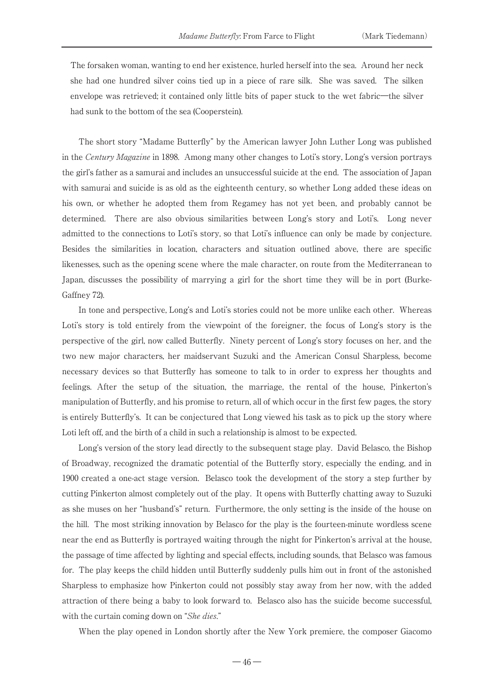The forsaken woman, wanting to end her existence, hurled herself into the sea. Around her neck she had one hundred silver coins tied up in a piece of rare silk. She was saved. The silken envelope was retrieved; it contained only little bits of paper stuck to the wet fabric—the silver had sunk to the bottom of the sea (Cooperstein).

The short story "Madame Butterfly" by the American lawyer John Luther Long was published in the Century Magazine in 1898. Among many other changes to Loti's story, Long's version portrays the girl's father as a samurai and includes an unsuccessful suicide at the end. The association of Japan with samurai and suicide is as old as the eighteenth century, so whether Long added these ideas on his own, or whether he adopted them from Regamey has not yet been, and probably cannot be determined. There are also obvious similarities between Long's story and Loti's. Long never admitted to the connections to Loti's story, so that Loti's influence can only be made by conjecture. Besides the similarities in location, characters and situation outlined above, there are specific likenesses, such as the opening scene where the male character, on route from the Mediterranean to Japan, discusses the possibility of marrying a girl for the short time they will be in port (Burke-Gaffney 72).

In tone and perspective, Long's and Loti's stories could not be more unlike each other. Whereas Loti's story is told entirely from the viewpoint of the foreigner, the focus of Long's story is the perspective of the girl, now called Butterfly. Ninety percent of Long's story focuses on her, and the two new major characters, her maidservant Suzuki and the American Consul Sharpless, become necessary devices so that Butterfly has someone to talk to in order to express her thoughts and feelings. After the setup of the situation, the marriage, the rental of the house, Pinkerton's manipulation of Butterfly, and his promise to return, all of which occur in the first few pages, the story is entirely Butterfly's. It can be conjectured that Long viewed his task as to pick up the story where Loti left off, and the birth of a child in such a relationship is almost to be expected.

Long's version of the story lead directly to the subsequent stage play. David Belasco, the Bishop of Broadway, recognized the dramatic potential of the Butterfly story, especially the ending, and in 1900 created a one-act stage version. Belasco took the development of the story a step further by cutting Pinkerton almost completely out of the play. It opens with Butterfly chatting away to Suzuki as she muses on her "husband's" return. Furthermore, the only setting is the inside of the house on the hill. The most striking innovation by Belasco for the play is the fourteen-minute wordless scene near the end as Butterfly is portrayed waiting through the night for Pinkerton's arrival at the house, the passage of time affected by lighting and special effects, including sounds, that Belasco was famous for. The play keeps the child hidden until Butterfly suddenly pulls him out in front of the astonished Sharpless to emphasize how Pinkerton could not possibly stay away from her now, with the added attraction of there being a baby to look forward to. Belasco also has the suicide become successful, with the curtain coming down on "She dies."

When the play opened in London shortly after the New York premiere, the composer Giacomo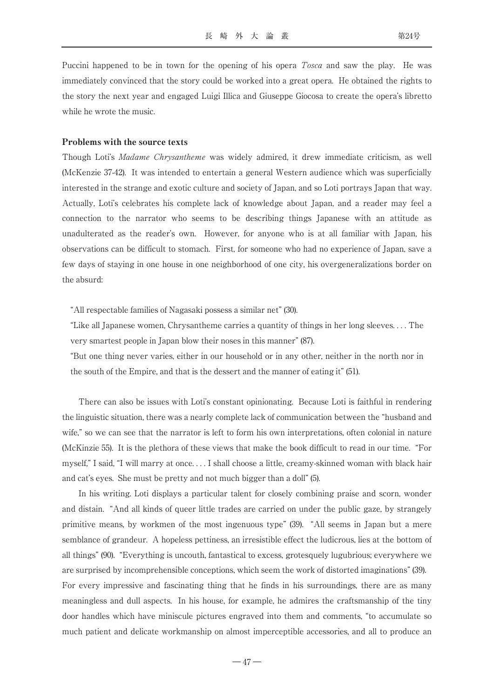Puccini happened to be in town for the opening of his opera *Tosca* and saw the play. He was immediately convinced that the story could be worked into a great opera. He obtained the rights to the story the next year and engaged Luigi Illica and Giuseppe Giocosa to create the opera's libretto while he wrote the music.

#### Problems with the source texts

Though Loti's Madame Chrysantheme was widely admired, it drew immediate criticism, as well (McKenzie 37-42). It was intended to entertain a general Western audience which was superficially interested in the strange and exotic culture and society of Japan, and so Loti portrays Japan that way. Actually, Loti's celebrates his complete lack of knowledge about Japan, and a reader may feel a connection to the narrator who seems to be describing things Japanese with an attitude as unadulterated as the reader's own. However, for anyone who is at all familiar with Japan, his observations can be difficult to stomach. First, for someone who had no experience of Japan, save a few days of staying in one house in one neighborhood of one city, his overgeneralizations border on the absurd:

"All respectable families of Nagasaki possess a similar net" (30).

"Like all Japanese women, Chrysantheme carries a quantity of things in her long sleeves. . . . The very smartest people in Japan blow their noses in this manner" (87).

"But one thing never varies, either in our household or in any other, neither in the north nor in the south of the Empire, and that is the dessert and the manner of eating it" (51).

There can also be issues with Loti's constant opinionating. Because Loti is faithful in rendering the linguistic situation, there was a nearly complete lack of communication between the "husband and wife," so we can see that the narrator is left to form his own interpretations, often colonial in nature (McKinzie 55). It is the plethora of these views that make the book difficult to read in our time. "For myself," I said, "I will marry at once. . . . I shall choose a little, creamy-skinned woman with black hair and cat's eyes. She must be pretty and not much bigger than a doll" (5).

In his writing. Loti displays a particular talent for closely combining praise and scorn, wonder and distain. "And all kinds of queer little trades are carried on under the public gaze, by strangely primitive means, by workmen of the most ingenuous type" (39). "All seems in Japan but a mere semblance of grandeur. A hopeless pettiness, an irresistible effect the ludicrous, lies at the bottom of all things" (90). "Everything is uncouth, fantastical to excess, grotesquely lugubrious; everywhere we are surprised by incomprehensible conceptions, which seem the work of distorted imaginations" (39).

For every impressive and fascinating thing that he finds in his surroundings, there are as many meaningless and dull aspects. In his house, for example, he admires the craftsmanship of the tiny door handles which have miniscule pictures engraved into them and comments, "to accumulate so much patient and delicate workmanship on almost imperceptible accessories, and all to produce an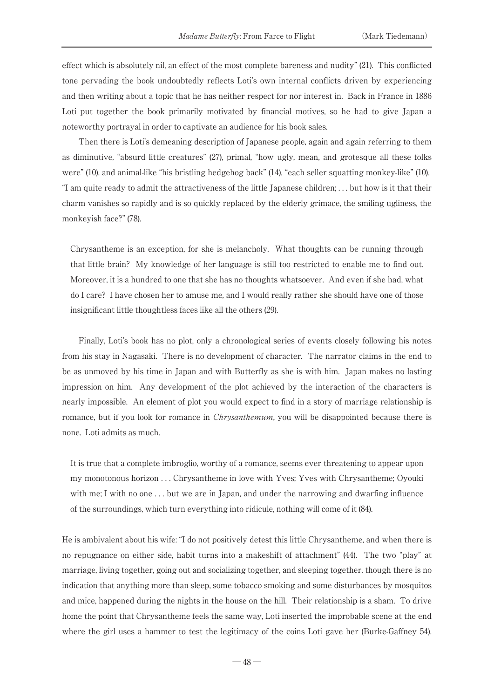effect which is absolutely nil, an effect of the most complete bareness and nudity" (21). This conflicted tone pervading the book undoubtedly reflects Loti's own internal conflicts driven by experiencing and then writing about a topic that he has neither respect for nor interest in. Back in France in 1886 Loti put together the book primarily motivated by financial motives, so he had to give Japan a noteworthy portrayal in order to captivate an audience for his book sales.

Then there is Loti's demeaning description of Japanese people, again and again referring to them as diminutive, "absurd little creatures" (27), primal, "how ugly, mean, and grotesque all these folks were" (10), and animal-like "his bristling hedgehog back" (14), "each seller squatting monkey-like" (10), "I am quite ready to admit the attractiveness of the little Japanese children; . . . but how is it that their charm vanishes so rapidly and is so quickly replaced by the elderly grimace, the smiling ugliness, the monkeyish face?" (78).

Chrysantheme is an exception, for she is melancholy. What thoughts can be running through that little brain? My knowledge of her language is still too restricted to enable me to find out. Moreover, it is a hundred to one that she has no thoughts whatsoever. And even if she had, what do I care? I have chosen her to amuse me, and I would really rather she should have one of those insignificant little thoughtless faces like all the others (29).

Finally, Loti's book has no plot, only a chronological series of events closely following his notes from his stay in Nagasaki. There is no development of character. The narrator claims in the end to be as unmoved by his time in Japan and with Butterfly as she is with him. Japan makes no lasting impression on him. Any development of the plot achieved by the interaction of the characters is nearly impossible. An element of plot you would expect to find in a story of marriage relationship is romance, but if you look for romance in *Chrysanthemum*, you will be disappointed because there is none. Loti admits as much.

It is true that a complete imbroglio, worthy of a romance, seems ever threatening to appear upon my monotonous horizon . . . Chrysantheme in love with Yves; Yves with Chrysantheme; Oyouki with me; I with no one ... but we are in Japan, and under the narrowing and dwarfing influence of the surroundings, which turn everything into ridicule, nothing will come of it (84).

He is ambivalent about his wife: "I do not positively detest this little Chrysantheme, and when there is no repugnance on either side, habit turns into a makeshift of attachment" (44). The two "play" at marriage, living together, going out and socializing together, and sleeping together, though there is no indication that anything more than sleep, some tobacco smoking and some disturbances by mosquitos and mice, happened during the nights in the house on the hill. Their relationship is a sham. To drive home the point that Chrysantheme feels the same way, Loti inserted the improbable scene at the end where the girl uses a hammer to test the legitimacy of the coins Loti gave her (Burke-Gaffney 54).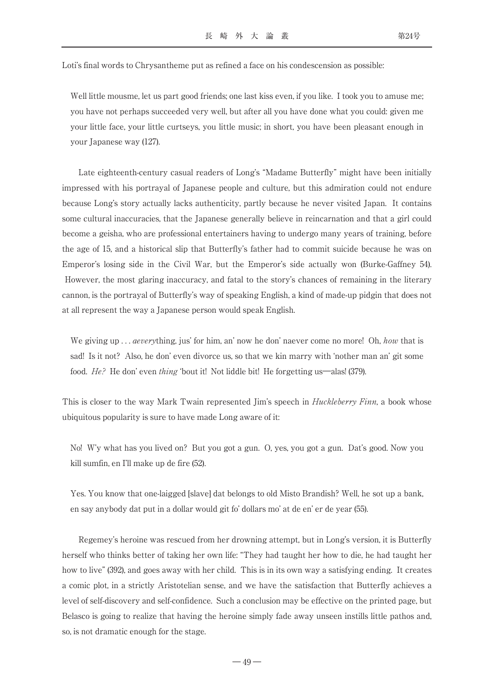Loti's final words to Chrysantheme put as refined a face on his condescension as possible:

Well little mousme, let us part good friends; one last kiss even, if you like. I took you to amuse me; you have not perhaps succeeded very well, but after all you have done what you could: given me your little face, your little curtseys, you little music; in short, you have been pleasant enough in your Japanese way (127).

Late eighteenth-century casual readers of Long's "Madame Butterfly" might have been initially impressed with his portrayal of Japanese people and culture, but this admiration could not endure because Long's story actually lacks authenticity, partly because he never visited Japan. It contains some cultural inaccuracies, that the Japanese generally believe in reincarnation and that a girl could become a geisha, who are professional entertainers having to undergo many years of training, before the age of 15, and a historical slip that Butterfly's father had to commit suicide because he was on Emperor's losing side in the Civil War, but the Emperor's side actually won (Burke-Gaffney 54). However, the most glaring inaccuracy, and fatal to the story's chances of remaining in the literary cannon, is the portrayal of Butterfly's way of speaking English, a kind of made-up pidgin that does not at all represent the way a Japanese person would speak English.

We giving up  $\ldots$  *aeverything*, jus' for him, an' now he don' naever come no more! Oh, how that is sad! Is it not? Also, he don' even divorce us, so that we kin marry with ʻnother man an' git some food. He? He don' even thing ʻbout it! Not liddle bit! He forgetting us―alas! (379).

This is closer to the way Mark Twain represented Jim's speech in *Huckleberry Finn*, a book whose ubiquitous popularity is sure to have made Long aware of it:

No! W'y what has you lived on? But you got a gun. O, yes, you got a gun. Dat's good. Now you kill sumfin, en I'll make up de fire (52).

Yes. You know that one-laigged [slave] dat belongs to old Misto Brandish? Well, he sot up a bank, en say anybody dat put in a dollar would git fo' dollars mo' at de en' er de year (55).

Regemey's heroine was rescued from her drowning attempt, but in Long's version, it is Butterfly herself who thinks better of taking her own life: "They had taught her how to die, he had taught her how to live" (392), and goes away with her child. This is in its own way a satisfying ending. It creates a comic plot, in a strictly Aristotelian sense, and we have the satisfaction that Butterfly achieves a level of self-discovery and self-confidence. Such a conclusion may be effective on the printed page, but Belasco is going to realize that having the heroine simply fade away unseen instills little pathos and, so, is not dramatic enough for the stage.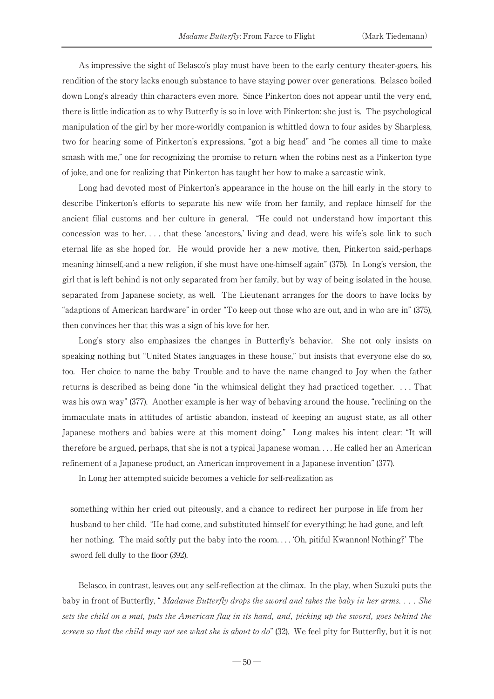As impressive the sight of Belasco's play must have been to the early century theater-goers, his rendition of the story lacks enough substance to have staying power over generations. Belasco boiled down Long's already thin characters even more. Since Pinkerton does not appear until the very end, there is little indication as to why Butterfly is so in love with Pinkerton: she just is. The psychological manipulation of the girl by her more-worldly companion is whittled down to four asides by Sharpless, two for hearing some of Pinkerton's expressions, "got a big head" and "he comes all time to make smash with me," one for recognizing the promise to return when the robins nest as a Pinkerton type of joke, and one for realizing that Pinkerton has taught her how to make a sarcastic wink.

Long had devoted most of Pinkerton's appearance in the house on the hill early in the story to describe Pinkerton's efforts to separate his new wife from her family, and replace himself for the ancient filial customs and her culture in general. "He could not understand how important this concession was to her. . . . that these ʻancestors,' living and dead, were his wife's sole link to such eternal life as she hoped for. He would provide her a new motive, then, Pinkerton said,-perhaps meaning himself,-and a new religion, if she must have one-himself again" (375). In Long's version, the girl that is left behind is not only separated from her family, but by way of being isolated in the house, separated from Japanese society, as well. The Lieutenant arranges for the doors to have locks by "adaptions of American hardware" in order "To keep out those who are out, and in who are in" (375), then convinces her that this was a sign of his love for her.

Long's story also emphasizes the changes in Butterfly's behavior. She not only insists on speaking nothing but "United States languages in these house," but insists that everyone else do so, too. Her choice to name the baby Trouble and to have the name changed to Joy when the father returns is described as being done "in the whimsical delight they had practiced together. . . . That was his own way" (377). Another example is her way of behaving around the house, "reclining on the immaculate mats in attitudes of artistic abandon, instead of keeping an august state, as all other Japanese mothers and babies were at this moment doing." Long makes his intent clear: "It will therefore be argued, perhaps, that she is not a typical Japanese woman. . . . He called her an American refinement of a Japanese product, an American improvement in a Japanese invention" (377).

In Long her attempted suicide becomes a vehicle for self-realization as

something within her cried out piteously, and a chance to redirect her purpose in life from her husband to her child. "He had come, and substituted himself for everything; he had gone, and left her nothing. The maid softly put the baby into the room. . . . ʻOh, pitiful Kwannon! Nothing?' The sword fell dully to the floor (392).

Belasco, in contrast, leaves out any self-reflection at the climax. In the play, when Suzuki puts the baby in front of Butterfly, "*Madame Butterfly drops the sword and takes the baby in her arms...* She sets the child on a mat, puts the American flag in its hand, and, picking up the sword, goes behind the screen so that the child may not see what she is about to do" (32). We feel pity for Butterfly, but it is not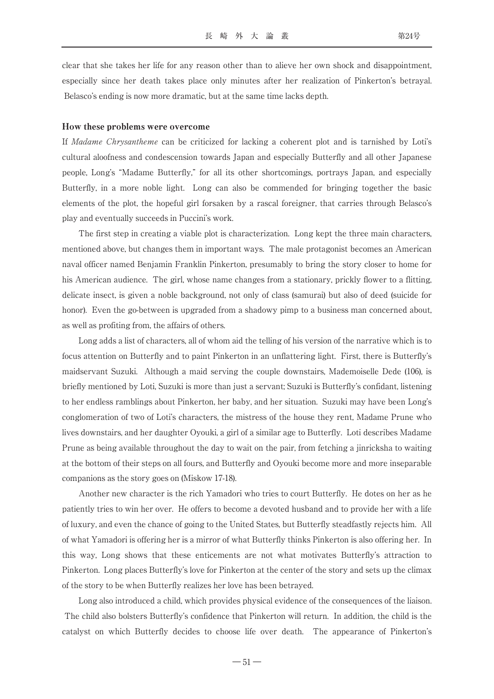clear that she takes her life for any reason other than to alieve her own shock and disappointment, especially since her death takes place only minutes after her realization of Pinkerton's betrayal. Belasco's ending is now more dramatic, but at the same time lacks depth.

#### How these problems were overcome

If Madame Chrysantheme can be criticized for lacking a coherent plot and is tarnished by Loti's cultural aloofness and condescension towards Japan and especially Butterfly and all other Japanese people, Long's "Madame Butterfly," for all its other shortcomings, portrays Japan, and especially Butterfly, in a more noble light. Long can also be commended for bringing together the basic elements of the plot, the hopeful girl forsaken by a rascal foreigner, that carries through Belasco's play and eventually succeeds in Puccini's work.

The first step in creating a viable plot is characterization. Long kept the three main characters, mentioned above, but changes them in important ways. The male protagonist becomes an American naval officer named Benjamin Franklin Pinkerton, presumably to bring the story closer to home for his American audience. The girl, whose name changes from a stationary, prickly flower to a flitting, delicate insect, is given a noble background, not only of class (samurai) but also of deed (suicide for honor). Even the go-between is upgraded from a shadowy pimp to a business man concerned about, as well as profiting from, the affairs of others.

Long adds a list of characters, all of whom aid the telling of his version of the narrative which is to focus attention on Butterfly and to paint Pinkerton in an unflattering light. First, there is Butterfly's maidservant Suzuki. Although a maid serving the couple downstairs, Mademoiselle Dede (106), is briefly mentioned by Loti, Suzuki is more than just a servant; Suzuki is Butterfly's confidant, listening to her endless ramblings about Pinkerton, her baby, and her situation. Suzuki may have been Long's conglomeration of two of Loti's characters, the mistress of the house they rent, Madame Prune who lives downstairs, and her daughter Oyouki, a girl of a similar age to Butterfly. Loti describes Madame Prune as being available throughout the day to wait on the pair, from fetching a jinricksha to waiting at the bottom of their steps on all fours, and Butterfly and Oyouki become more and more inseparable companions as the story goes on (Miskow 17-18).

Another new character is the rich Yamadori who tries to court Butterfly. He dotes on her as he patiently tries to win her over. He offers to become a devoted husband and to provide her with a life of luxury, and even the chance of going to the United States, but Butterfly steadfastly rejects him. All of what Yamadori is offering her is a mirror of what Butterfly thinks Pinkerton is also offering her. In this way, Long shows that these enticements are not what motivates Butterfly's attraction to Pinkerton. Long places Butterfly's love for Pinkerton at the center of the story and sets up the climax of the story to be when Butterfly realizes her love has been betrayed.

Long also introduced a child, which provides physical evidence of the consequences of the liaison. The child also bolsters Butterfly's confidence that Pinkerton will return. In addition, the child is the catalyst on which Butterfly decides to choose life over death. The appearance of Pinkerton's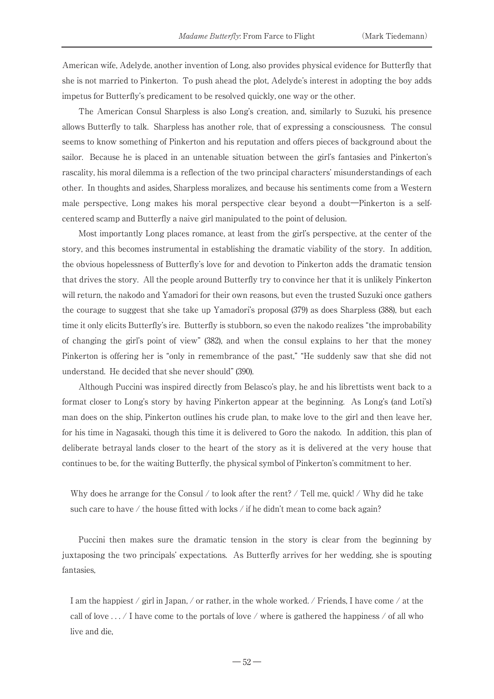American wife, Adelyde, another invention of Long, also provides physical evidence for Butterfly that she is not married to Pinkerton. To push ahead the plot, Adelyde's interest in adopting the boy adds impetus for Butterfly's predicament to be resolved quickly, one way or the other.

The American Consul Sharpless is also Long's creation, and, similarly to Suzuki, his presence allows Butterfly to talk. Sharpless has another role, that of expressing a consciousness. The consul seems to know something of Pinkerton and his reputation and offers pieces of background about the sailor. Because he is placed in an untenable situation between the girl's fantasies and Pinkerton's rascality, his moral dilemma is a reflection of the two principal characters' misunderstandings of each other. In thoughts and asides, Sharpless moralizes, and because his sentiments come from a Western male perspective, Long makes his moral perspective clear beyond a doubt―Pinkerton is a selfcentered scamp and Butterfly a naive girl manipulated to the point of delusion.

Most importantly Long places romance, at least from the girl's perspective, at the center of the story, and this becomes instrumental in establishing the dramatic viability of the story. In addition, the obvious hopelessness of Butterfly's love for and devotion to Pinkerton adds the dramatic tension that drives the story. All the people around Butterfly try to convince her that it is unlikely Pinkerton will return, the nakodo and Yamadori for their own reasons, but even the trusted Suzuki once gathers the courage to suggest that she take up Yamadori's proposal (379) as does Sharpless (388), but each time it only elicits Butterfly's ire. Butterfly is stubborn, so even the nakodo realizes "the improbability of changing the girl's point of view" (382), and when the consul explains to her that the money Pinkerton is offering her is "only in remembrance of the past," "He suddenly saw that she did not understand. He decided that she never should" (390).

Although Puccini was inspired directly from Belasco's play, he and his librettists went back to a format closer to Long's story by having Pinkerton appear at the beginning. As Long's (and Loti's) man does on the ship, Pinkerton outlines his crude plan, to make love to the girl and then leave her, for his time in Nagasaki, though this time it is delivered to Goro the nakodo. In addition, this plan of deliberate betrayal lands closer to the heart of the story as it is delivered at the very house that continues to be, for the waiting Butterfly, the physical symbol of Pinkerton's commitment to her.

Why does he arrange for the Consul / to look after the rent? / Tell me, quick! / Why did he take such care to have / the house fitted with locks / if he didn't mean to come back again?

Puccini then makes sure the dramatic tension in the story is clear from the beginning by juxtaposing the two principals' expectations. As Butterfly arrives for her wedding, she is spouting fantasies,

I am the happiest  $/$  girl in Japan,  $/$  or rather, in the whole worked.  $/$  Friends, I have come  $/$  at the call of love  $\dots$  / I have come to the portals of love / where is gathered the happiness / of all who live and die,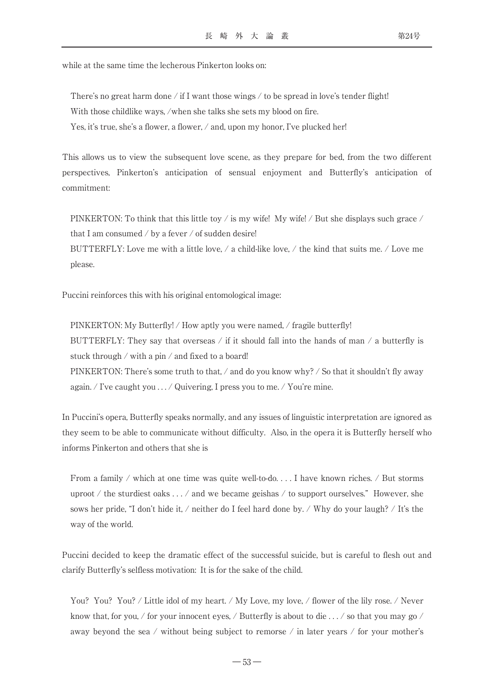while at the same time the lecherous Pinkerton looks on:

There's no great harm done / if I want those wings / to be spread in love's tender flight! With those childlike ways, /when she talks she sets my blood on fire. Yes, it's true, she's a flower, a flower,  $\alpha$  and, upon my honor, I've plucked her!

This allows us to view the subsequent love scene, as they prepare for bed, from the two different perspectives, Pinkerton's anticipation of sensual enjoyment and Butterfly's anticipation of commitment:

PINKERTON: To think that this little toy / is my wife! My wife! / But she displays such grace / that I am consumed  $\ell$  by a fever  $\ell$  of sudden desire!

BUTTERFLY: Love me with a little love,  $\angle$  a child-like love,  $\angle$  the kind that suits me.  $\angle$  Love me please.

Puccini reinforces this with his original entomological image:

PINKERTON: My Butterfly! / How aptly you were named, / fragile butterfly! BUTTERFLY: They say that overseas / if it should fall into the hands of man  $\ell$  a butterfly is stuck through / with a pin / and fixed to a board! PINKERTON: There's some truth to that, / and do you know why? / So that it shouldn't fly away again. / I've caught you . . . / Quivering, I press you to me. / You're mine.

In Puccini's opera, Butterfly speaks normally, and any issues of linguistic interpretation are ignored as they seem to be able to communicate without difficulty. Also, in the opera it is Butterfly herself who informs Pinkerton and others that she is

From a family / which at one time was quite well-to-do... I have known riches. / But storms uproot / the sturdiest oaks  $\dots$  / and we became geishas / to support ourselves." However, she sows her pride, "I don't hide it, / neither do I feel hard done by. / Why do your laugh? / It's the way of the world.

Puccini decided to keep the dramatic effect of the successful suicide, but is careful to flesh out and clarify Butterfly's selfless motivation: It is for the sake of the child.

You? You? You? / Little idol of my heart. / My Love, my love, / flower of the lily rose. / Never know that, for you, / for your innocent eyes, / Butterfly is about to die  $\dots$  / so that you may go / away beyond the sea / without being subject to remorse / in later years / for your mother's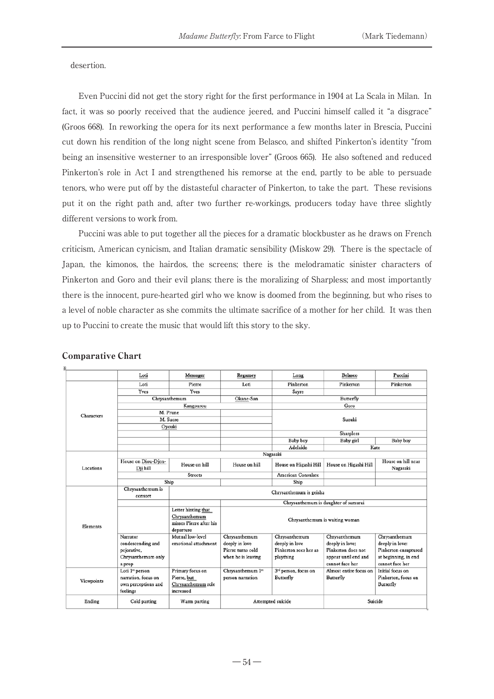desertion.

Even Puccini did not get the story right for the first performance in 1904 at La Scala in Milan. In fact, it was so poorly received that the audience jeered, and Puccini himself called it "a disgrace" (Groos 668). In reworking the opera for its next performance a few months later in Brescia, Puccini cut down his rendition of the long night scene from Belasco, and shifted Pinkerton's identity "from being an insensitive westerner to an irresponsible lover" (Groos 665). He also softened and reduced Pinkerton's role in Act I and strengthened his remorse at the end, partly to be able to persuade tenors, who were put off by the distasteful character of Pinkerton, to take the part. These revisions put it on the right path and, after two further re-workings, producers today have three slightly different versions to work from.

Puccini was able to put together all the pieces for a dramatic blockbuster as he draws on French criticism, American cynicism, and Italian dramatic sensibility (Miskow 29). There is the spectacle of Japan, the kimonos, the hairdos, the screens; there is the melodramatic sinister characters of Pinkerton and Goro and their evil plans; there is the moralizing of Sharpless; and most importantly there is the innocent, pure-hearted girl who we know is doomed from the beginning, but who rises to a level of noble character as she commits the ultimate sacrifice of a mother for her child. It was then up to Puccini to create the music that would lift this story to the sky.

|                        | Loti                | Messager                                 | Regamey                              | Long                             | Belasco                | Puccini              |  |
|------------------------|---------------------|------------------------------------------|--------------------------------------|----------------------------------|------------------------|----------------------|--|
| Characters             | Loti                | Pierre                                   | Loti                                 | Pinkerton                        | Pinkerton              | Pinkerton            |  |
|                        | Yves                | Yves                                     |                                      | Sayre                            |                        |                      |  |
|                        |                     | Chrysanthemum                            | Okane-San                            | Butterfly                        |                        |                      |  |
|                        |                     | Kangourou                                |                                      | Goro                             |                        |                      |  |
|                        | M. Prune            |                                          |                                      | Suzuki                           |                        |                      |  |
|                        | M. Sucre            |                                          |                                      |                                  |                        |                      |  |
|                        | Oyouki              |                                          |                                      |                                  |                        |                      |  |
|                        |                     |                                          |                                      |                                  | Sharpless              |                      |  |
|                        |                     |                                          |                                      | Baby boy                         | Baby girl              | Baby boy             |  |
|                        |                     |                                          |                                      | Adelaide                         | Kate                   |                      |  |
|                        | Nagasaki            |                                          |                                      |                                  |                        |                      |  |
| Locations              | House on Diou-Djen- | House on hill                            | House on hill                        | House on Higashi Hill            | House on Higashi Hill  | House on hill near   |  |
|                        | Dji hill            |                                          |                                      |                                  |                        | Nagasaki             |  |
|                        |                     | <b>Streets</b>                           |                                      | <b>American Consulate</b>        |                        |                      |  |
|                        |                     | Ship                                     |                                      | Ship                             |                        |                      |  |
| Elements<br>Viewpoints | Chrysanthemum is    | Chrysanthemum is geisha                  |                                      |                                  |                        |                      |  |
|                        | consort             |                                          |                                      |                                  |                        |                      |  |
|                        |                     |                                          | Chrysanthemum is daughter of samurai |                                  |                        |                      |  |
|                        |                     | Letter hinting that                      |                                      |                                  |                        |                      |  |
|                        |                     | Chrysanthemum<br>misses Pierre after his | Chrysanthemum is waiting woman       |                                  |                        |                      |  |
|                        |                     |                                          |                                      |                                  |                        |                      |  |
|                        | Narrator            | departure<br>Mutual low-level            | Chrysanthemum                        | Chrysanthemum                    | Chrysanthemum          | Chrysanthemum        |  |
|                        | condescending and   | emotional attachment                     | deeply in love                       | deeply in love                   | deeply in love:        | deeply in love:      |  |
|                        | pejorative,         |                                          | Pierre turns cold                    | Pinkerton sees her as            | Pinkerton does not     | Pinkerton enraptured |  |
|                        | Chrysanthemum only  |                                          | when he is leaving                   | plaything                        | appear until end and   | at beginning, in end |  |
|                        | a prop              |                                          |                                      |                                  | cannot face her        | cannot face her      |  |
|                        | Loti 1st person     | Primary focus on                         | Chrysanthemum 1st                    | 3 <sup>rd</sup> person, focus on | Almost entire focus on | Initial focus on     |  |
|                        | narration, focus on | Pierre, but                              | person narration                     | Butterfly                        | Butterfly              | Pinkerton, focus on  |  |
|                        | own perceptions and | Chrysanthemum role                       |                                      |                                  |                        | Butterfly            |  |
|                        | feelings            | increased                                |                                      |                                  |                        |                      |  |
| Ending                 | Cold parting        | Warm parting                             | Attempted suicide                    |                                  | Suicide                |                      |  |

### Comparative Chart